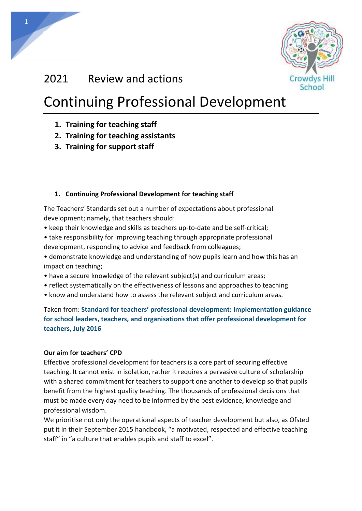

## 2021 Review and actions

**CPD** CC.

1

# Continuing Professional Development

- **1. Training for teaching staff**
- **2. Training for teaching assistants**
- **3. Training for support staff**

## **1. Continuing Professional Development for teaching staff**

The Teachers' Standards set out a number of expectations about professional development; namely, that teachers should:

- keep their knowledge and skills as teachers up-to-date and be self-critical;
- take responsibility for improving teaching through appropriate professional development, responding to advice and feedback from colleagues;
- demonstrate knowledge and understanding of how pupils learn and how this has an impact on teaching;
- have a secure knowledge of the relevant subject(s) and curriculum areas;
- reflect systematically on the effectiveness of lessons and approaches to teaching
- know and understand how to assess the relevant subject and curriculum areas.

Taken from: **Standard for teachers' professional development: Implementation guidance for school leaders, teachers, and organisations that offer professional development for teachers, July 2016**

#### **Our aim for teachers' CPD**

Effective professional development for teachers is a core part of securing effective teaching. It cannot exist in isolation, rather it requires a pervasive culture of scholarship with a shared commitment for teachers to support one another to develop so that pupils benefit from the highest quality teaching. The thousands of professional decisions that must be made every day need to be informed by the best evidence, knowledge and professional wisdom.

We prioritise not only the operational aspects of teacher development but also, as Ofsted put it in their September 2015 handbook, "a motivated, respected and effective teaching staff" in "a culture that enables pupils and staff to excel".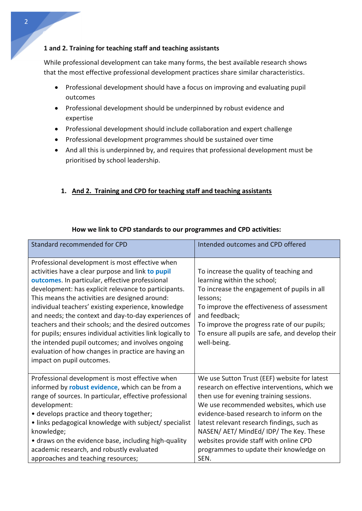#### **1 and 2. Training for teaching staff and teaching assistants**

While professional development can take many forms, the best available research shows that the most effective professional development practices share similar characteristics.

- Professional development should have a focus on improving and evaluating pupil outcomes
- Professional development should be underpinned by robust evidence and expertise
- Professional development should include collaboration and expert challenge
- Professional development programmes should be sustained over time
- And all this is underpinned by, and requires that professional development must be prioritised by school leadership.

### **1. And 2. Training and CPD for teaching staff and teaching assistants**

| Standard recommended for CPD                                                                                                                                                                                                                                                                                                                                                                                                                                                                                                                                                                                                                     | Intended outcomes and CPD offered                                                                                                                                                                                                                                                                                                                                                                                    |
|--------------------------------------------------------------------------------------------------------------------------------------------------------------------------------------------------------------------------------------------------------------------------------------------------------------------------------------------------------------------------------------------------------------------------------------------------------------------------------------------------------------------------------------------------------------------------------------------------------------------------------------------------|----------------------------------------------------------------------------------------------------------------------------------------------------------------------------------------------------------------------------------------------------------------------------------------------------------------------------------------------------------------------------------------------------------------------|
| Professional development is most effective when<br>activities have a clear purpose and link to pupil<br>outcomes. In particular, effective professional<br>development: has explicit relevance to participants.<br>This means the activities are designed around:<br>individual teachers' existing experience, knowledge<br>and needs; the context and day-to-day experiences of<br>teachers and their schools; and the desired outcomes<br>for pupils; ensures individual activities link logically to<br>the intended pupil outcomes; and involves ongoing<br>evaluation of how changes in practice are having an<br>impact on pupil outcomes. | To increase the quality of teaching and<br>learning within the school;<br>To increase the engagement of pupils in all<br>lessons;<br>To improve the effectiveness of assessment<br>and feedback;<br>To improve the progress rate of our pupils;<br>To ensure all pupils are safe, and develop their<br>well-being.                                                                                                   |
| Professional development is most effective when<br>informed by robust evidence, which can be from a<br>range of sources. In particular, effective professional<br>development:<br>• develops practice and theory together;<br>• links pedagogical knowledge with subject/ specialist<br>knowledge;<br>• draws on the evidence base, including high-quality<br>academic research, and robustly evaluated<br>approaches and teaching resources;                                                                                                                                                                                                    | We use Sutton Trust (EEF) website for latest<br>research on effective interventions, which we<br>then use for evening training sessions.<br>We use recommended websites, which use<br>evidence-based research to inform on the<br>latest relevant research findings, such as<br>NASEN/ AET/ MindEd/ IDP/ The Key. These<br>websites provide staff with online CPD<br>programmes to update their knowledge on<br>SEN. |

#### **How we link to CPD standards to our programmes and CPD activities:**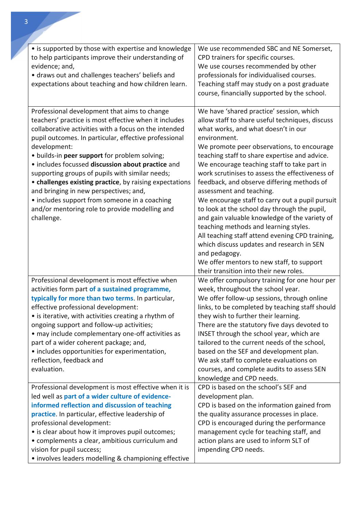| • is supported by those with expertise and knowledge<br>to help participants improve their understanding of<br>evidence; and,<br>· draws out and challenges teachers' beliefs and<br>expectations about teaching and how children learn.                                                                                                                                                                                                                                                                                                                                                                               | We use recommended SBC and NE Somerset,<br>CPD trainers for specific courses.<br>We use courses recommended by other<br>professionals for individualised courses.<br>Teaching staff may study on a post graduate<br>course, financially supported by the school.                                                                                                                                                                                                                                                                                                                                                                                                                                                                                                                                                                   |
|------------------------------------------------------------------------------------------------------------------------------------------------------------------------------------------------------------------------------------------------------------------------------------------------------------------------------------------------------------------------------------------------------------------------------------------------------------------------------------------------------------------------------------------------------------------------------------------------------------------------|------------------------------------------------------------------------------------------------------------------------------------------------------------------------------------------------------------------------------------------------------------------------------------------------------------------------------------------------------------------------------------------------------------------------------------------------------------------------------------------------------------------------------------------------------------------------------------------------------------------------------------------------------------------------------------------------------------------------------------------------------------------------------------------------------------------------------------|
| Professional development that aims to change<br>teachers' practice is most effective when it includes<br>collaborative activities with a focus on the intended<br>pupil outcomes. In particular, effective professional<br>development:<br>· builds-in peer support for problem solving;<br>· includes focussed discussion about practice and<br>supporting groups of pupils with similar needs;<br>• challenges existing practice, by raising expectations<br>and bringing in new perspectives; and,<br>• includes support from someone in a coaching<br>and/or mentoring role to provide modelling and<br>challenge. | We have 'shared practice' session, which<br>allow staff to share useful techniques, discuss<br>what works, and what doesn't in our<br>environment.<br>We promote peer observations, to encourage<br>teaching staff to share expertise and advice.<br>We encourage teaching staff to take part in<br>work scrutinises to assess the effectiveness of<br>feedback, and observe differing methods of<br>assessment and teaching.<br>We encourage staff to carry out a pupil pursuit<br>to look at the school day through the pupil,<br>and gain valuable knowledge of the variety of<br>teaching methods and learning styles.<br>All teaching staff attend evening CPD training,<br>which discuss updates and research in SEN<br>and pedagogy.<br>We offer mentors to new staff, to support<br>their transition into their new roles. |
| Professional development is most effective when<br>activities form part of a sustained programme,<br>typically for more than two terms. In particular,<br>effective professional development:<br>• is iterative, with activities creating a rhythm of<br>ongoing support and follow-up activities;<br>• may include complementary one-off activities as<br>part of a wider coherent package; and,<br>• includes opportunities for experimentation,<br>reflection, feedback and<br>evaluation.                                                                                                                          | We offer compulsory training for one hour per<br>week, throughout the school year.<br>We offer follow-up sessions, through online<br>links, to be completed by teaching staff should<br>they wish to further their learning.<br>There are the statutory five days devoted to<br>INSET through the school year, which are<br>tailored to the current needs of the school,<br>based on the SEF and development plan.<br>We ask staff to complete evaluations on<br>courses, and complete audits to assess SEN<br>knowledge and CPD needs.                                                                                                                                                                                                                                                                                            |
| Professional development is most effective when it is<br>led well as part of a wider culture of evidence-<br>informed reflection and discussion of teaching<br>practice. In particular, effective leadership of<br>professional development:<br>• is clear about how it improves pupil outcomes;<br>• complements a clear, ambitious curriculum and<br>vision for pupil success;<br>• involves leaders modelling & championing effective                                                                                                                                                                               | CPD is based on the school's SEF and<br>development plan.<br>CPD is based on the information gained from<br>the quality assurance processes in place.<br>CPD is encouraged during the performance<br>management cycle for teaching staff, and<br>action plans are used to inform SLT of<br>impending CPD needs.                                                                                                                                                                                                                                                                                                                                                                                                                                                                                                                    |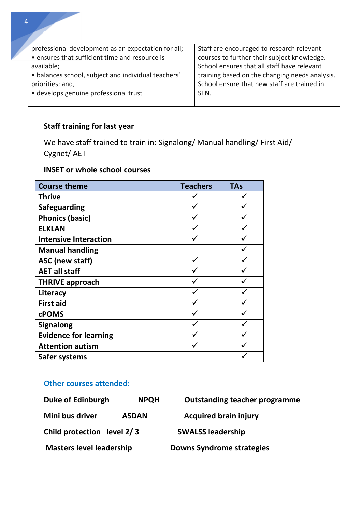| professional development as an expectation for all; | Staff are encouraged to research relevant      |
|-----------------------------------------------------|------------------------------------------------|
| • ensures that sufficient time and resource is      | courses to further their subject knowledge.    |
| available;                                          | School ensures that all staff have relevant    |
| • balances school, subject and individual teachers' | training based on the changing needs analysis. |
| priorities; and,                                    | School ensure that new staff are trained in    |
| • develops genuine professional trust               | SEN.                                           |
|                                                     |                                                |

## **Staff training for last year**

We have staff trained to train in: Signalong/ Manual handling/ First Aid/ Cygnet/ AET

## **INSET or whole school courses**

| <b>Course theme</b>          | <b>Teachers</b> | <b>TAs</b> |
|------------------------------|-----------------|------------|
| <b>Thrive</b>                |                 |            |
| <b>Safeguarding</b>          |                 |            |
| <b>Phonics (basic)</b>       |                 |            |
| <b>ELKLAN</b>                |                 |            |
| <b>Intensive Interaction</b> |                 |            |
| <b>Manual handling</b>       |                 |            |
| <b>ASC</b> (new staff)       | ✓               |            |
| <b>AET all staff</b>         |                 |            |
| <b>THRIVE approach</b>       |                 |            |
| Literacy                     |                 |            |
| <b>First aid</b>             |                 |            |
| <b>cPOMS</b>                 |                 |            |
| <b>Signalong</b>             |                 |            |
| <b>Evidence for learning</b> |                 |            |
| <b>Attention autism</b>      |                 |            |
| Safer systems                |                 |            |

## **Other courses attended:**

| Duke of Edinburgh               | <b>NPQH</b>  | <b>Outstanding teacher programme</b> |
|---------------------------------|--------------|--------------------------------------|
| Mini bus driver                 | <b>ASDAN</b> | <b>Acquired brain injury</b>         |
| Child protection level 2/3      |              | <b>SWALSS leadership</b>             |
| <b>Masters level leadership</b> |              | <b>Downs Syndrome strategies</b>     |

**CPD** 

CC.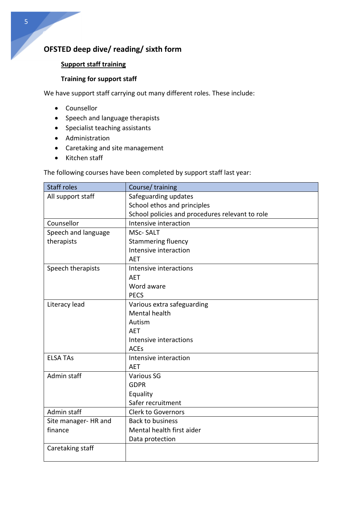## **OFSTED deep dive/ reading/ sixth form**

## **Support staff training**

#### **Training for support staff**

We have support staff carrying out many different roles. These include:

- Counsellor
- Speech and language therapists
- Specialist teaching assistants
- Administration
- Caretaking and site management
- Kitchen staff

The following courses have been completed by support staff last year:

| <b>Staff roles</b>   | Course/training                                 |  |
|----------------------|-------------------------------------------------|--|
| All support staff    | Safeguarding updates                            |  |
|                      | School ethos and principles                     |  |
|                      | School policies and procedures relevant to role |  |
| Counsellor           | Intensive interaction                           |  |
| Speech and language  | <b>MSc-SALT</b>                                 |  |
| therapists           | <b>Stammering fluency</b>                       |  |
|                      | Intensive interaction                           |  |
|                      | <b>AET</b>                                      |  |
| Speech therapists    | Intensive interactions                          |  |
|                      | <b>AET</b>                                      |  |
|                      | Word aware                                      |  |
|                      | <b>PECS</b>                                     |  |
| Literacy lead        | Various extra safeguarding                      |  |
|                      | Mental health                                   |  |
|                      | Autism                                          |  |
|                      | <b>AET</b>                                      |  |
|                      | Intensive interactions                          |  |
|                      | <b>ACEs</b>                                     |  |
| <b>ELSA TAS</b>      | Intensive interaction                           |  |
|                      | <b>AET</b>                                      |  |
| Admin staff          | <b>Various SG</b>                               |  |
|                      | <b>GDPR</b>                                     |  |
|                      | Equality                                        |  |
|                      | Safer recruitment                               |  |
| Admin staff          | <b>Clerk to Governors</b>                       |  |
| Site manager- HR and | <b>Back to business</b>                         |  |
| finance              | Mental health first aider                       |  |
|                      | Data protection                                 |  |
| Caretaking staff     |                                                 |  |
|                      |                                                 |  |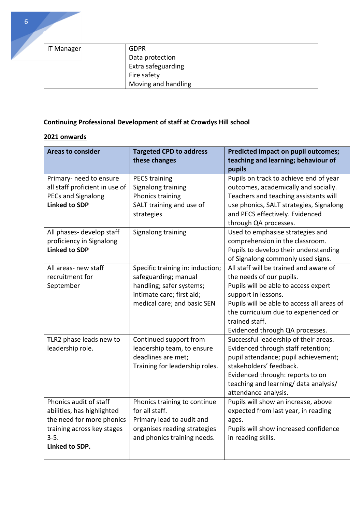| IT Manager | <b>GDPR</b>         |
|------------|---------------------|
|            | Data protection     |
|            | Extra safeguarding  |
|            | Fire safety         |
|            | Moving and handling |

## **Continuing Professional Development of staff at Crowdys Hill school**

## **2021 onwards**

| <b>Areas to consider</b>                                                                                                                    | <b>Targeted CPD to address</b><br>these changes                                                                                                  | <b>Predicted impact on pupil outcomes;</b><br>teaching and learning; behaviour of<br>pupils                                                                                                                                                                                  |
|---------------------------------------------------------------------------------------------------------------------------------------------|--------------------------------------------------------------------------------------------------------------------------------------------------|------------------------------------------------------------------------------------------------------------------------------------------------------------------------------------------------------------------------------------------------------------------------------|
| Primary- need to ensure<br>all staff proficient in use of<br><b>PECs and Signalong</b><br><b>Linked to SDP</b>                              | <b>PECS training</b><br>Signalong training<br>Phonics training<br>SALT training and use of<br>strategies                                         | Pupils on track to achieve end of year<br>outcomes, academically and socially.<br>Teachers and teaching assistants will<br>use phonics, SALT strategies, Signalong<br>and PECS effectively. Evidenced<br>through QA processes.                                               |
| All phases- develop staff<br>proficiency in Signalong<br><b>Linked to SDP</b>                                                               | Signalong training                                                                                                                               | Used to emphasise strategies and<br>comprehension in the classroom.<br>Pupils to develop their understanding<br>of Signalong commonly used signs.                                                                                                                            |
| All areas- new staff<br>recruitment for<br>September                                                                                        | Specific training in: induction;<br>safeguarding; manual<br>handling; safer systems;<br>intimate care; first aid;<br>medical care; and basic SEN | All staff will be trained and aware of<br>the needs of our pupils.<br>Pupils will be able to access expert<br>support in lessons.<br>Pupils will be able to access all areas of<br>the curriculum due to experienced or<br>trained staff.<br>Evidenced through QA processes. |
| TLR2 phase leads new to<br>leadership role.                                                                                                 | Continued support from<br>leadership team, to ensure<br>deadlines are met;<br>Training for leadership roles.                                     | Successful leadership of their areas.<br>Evidenced through staff retention;<br>pupil attendance; pupil achievement;<br>stakeholders' feedback.<br>Evidenced through: reports to on<br>teaching and learning/ data analysis/<br>attendance analysis.                          |
| Phonics audit of staff<br>abilities, has highlighted<br>the need for more phonics<br>training across key stages<br>$3-5.$<br>Linked to SDP. | Phonics training to continue<br>for all staff.<br>Primary lead to audit and<br>organises reading strategies<br>and phonics training needs.       | Pupils will show an increase, above<br>expected from last year, in reading<br>ages.<br>Pupils will show increased confidence<br>in reading skills.                                                                                                                           |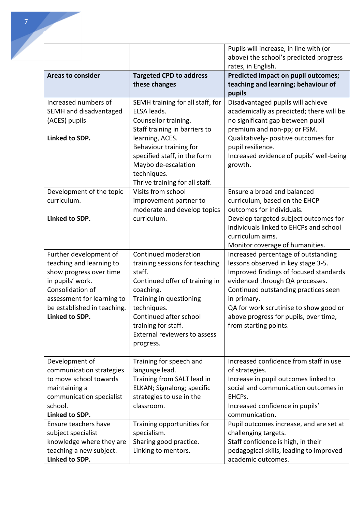|                                        |                                           | Pupils will increase, in line with (or                                 |
|----------------------------------------|-------------------------------------------|------------------------------------------------------------------------|
|                                        |                                           | above) the school's predicted progress<br>rates, in English.           |
| <b>Areas to consider</b>               | <b>Targeted CPD to address</b>            | <b>Predicted impact on pupil outcomes;</b>                             |
|                                        | these changes                             | teaching and learning; behaviour of                                    |
|                                        |                                           | pupils                                                                 |
| Increased numbers of                   | SEMH training for all staff, for          | Disadvantaged pupils will achieve                                      |
| SEMH and disadvantaged                 | ELSA leads.                               | academically as predicted; there will be                               |
| (ACES) pupils                          | Counsellor training.                      | no significant gap between pupil                                       |
|                                        | Staff training in barriers to             | premium and non-pp; or FSM.                                            |
| Linked to SDP.                         | learning, ACES.<br>Behaviour training for | Qualitatively- positive outcomes for<br>pupil resilience.              |
|                                        | specified staff, in the form              | Increased evidence of pupils' well-being                               |
|                                        | Maybo de-escalation                       | growth.                                                                |
|                                        | techniques.                               |                                                                        |
|                                        | Thrive training for all staff.            |                                                                        |
| Development of the topic               | Visits from school                        | Ensure a broad and balanced                                            |
| curriculum.                            | improvement partner to                    | curriculum, based on the EHCP                                          |
|                                        | moderate and develop topics               | outcomes for individuals.                                              |
| Linked to SDP.                         | curriculum.                               | Develop targeted subject outcomes for                                  |
|                                        |                                           | individuals linked to EHCPs and school                                 |
|                                        |                                           | curriculum aims.                                                       |
| Further development of                 | Continued moderation                      | Monitor coverage of humanities.<br>Increased percentage of outstanding |
| teaching and learning to               | training sessions for teaching            | lessons observed in key stage 3-5.                                     |
| show progress over time                | staff.                                    | Improved findings of focused standards                                 |
| in pupils' work.                       | Continued offer of training in            | evidenced through QA processes.                                        |
| Consolidation of                       | coaching.                                 | Continued outstanding practices seen                                   |
| assessment for learning to             | Training in questioning                   | in primary.                                                            |
| be established in teaching.            | techniques.                               | QA for work scrutinise to show good or                                 |
| Linked to SDP.                         | Continued after school                    | above progress for pupils, over time,                                  |
|                                        | training for staff.                       | from starting points.                                                  |
|                                        | External reviewers to assess              |                                                                        |
|                                        | progress.                                 |                                                                        |
| Development of                         | Training for speech and                   | Increased confidence from staff in use                                 |
| communication strategies               | language lead.                            | of strategies.                                                         |
| to move school towards                 | Training from SALT lead in                | Increase in pupil outcomes linked to                                   |
| maintaining a                          | ELKAN; Signalong; specific                | social and communication outcomes in                                   |
| communication specialist               | strategies to use in the                  | EHCPs.                                                                 |
| school.                                | classroom.                                | Increased confidence in pupils'                                        |
| Linked to SDP.<br>Ensure teachers have |                                           | communication.                                                         |
| subject specialist                     | Training opportunities for<br>specialism. | Pupil outcomes increase, and are set at<br>challenging targets.        |
| knowledge where they are               | Sharing good practice.                    | Staff confidence is high, in their                                     |
| teaching a new subject.                | Linking to mentors.                       | pedagogical skills, leading to improved                                |
| Linked to SDP.                         |                                           | academic outcomes.                                                     |